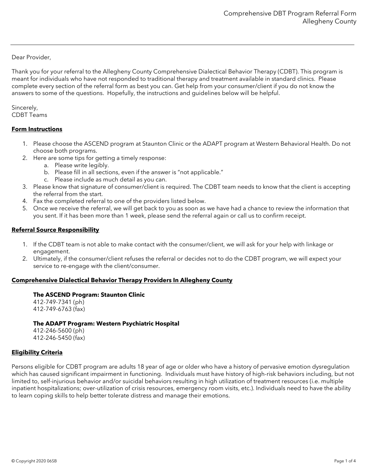Dear Provider,

Thank you for your referral to the Allegheny County Comprehensive Dialectical Behavior Therapy (CDBT). This program is meant for individuals who have not responded to traditional therapy and treatment available in standard clinics. Please complete every section of the referral form as best you can. Get help from your consumer/client if you do not know the answers to some of the questions. Hopefully, the instructions and guidelines below will be helpful.

Sincerely, CDBT Teams

### **Form Instructions**

- 1. Please choose the ASCEND program at Staunton Clinic or the ADAPT program at Western Behavioral Health. Do not choose both programs.
- 2. Here are some tips for getting a timely response:
	- a. Please write legibly.
	- b. Please fill in all sections, even if the answer is "not applicable."
	- c. Please include as much detail as you can.
- 3. Please know that signature of consumer/client is required. The CDBT team needs to know that the client is accepting the referral from the start.
- 4. Fax the completed referral to one of the providers listed below.
- 5. Once we receive the referral, we will get back to you as soon as we have had a chance to review the information that you sent. If it has been more than 1 week, please send the referral again or call us to confirm receipt.

### **Referral Source Responsibility**

- 1. If the CDBT team is not able to make contact with the consumer/client, we will ask for your help with linkage or engagement.
- 2. Ultimately, if the consumer/client refuses the referral or decides not to do the CDBT program, we will expect your service to re-engage with the client/consumer.

### **Comprehensive Dialectical Behavior Therapy Providers In Allegheny County**

#### **The ASCEND Program: Staunton Clinic**

412-749-7341 (ph) 412-749-6763 (fax)

#### **The ADAPT Program: Western Psychiatric Hospital**

412-246-5600 (ph) 412-246-5450 (fax)

### **Eligibility Criteria**

Persons eligible for CDBT program are adults 18 year of age or older who have a history of pervasive emotion dysregulation which has caused significant impairment in functioning. Individuals must have history of high-risk behaviors including, but not limited to, self-injurious behavior and/or suicidal behaviors resulting in high utilization of treatment resources (i.e. multiple inpatient hospitalizations; over-utilization of crisis resources, emergency room visits, etc.). Individuals need to have the ability to learn coping skills to help better tolerate distress and manage their emotions.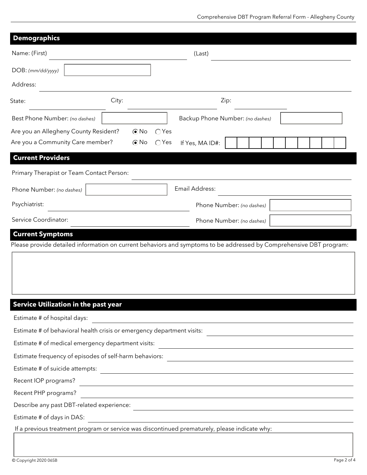| <b>Demographics</b>                                                                                                 |            |                |                 |                                                                                                                      |  |
|---------------------------------------------------------------------------------------------------------------------|------------|----------------|-----------------|----------------------------------------------------------------------------------------------------------------------|--|
| Name: (First)                                                                                                       |            |                | (Last)          |                                                                                                                      |  |
| DOB: (mm/dd/yyyy)                                                                                                   |            |                |                 |                                                                                                                      |  |
| Address:                                                                                                            |            |                |                 |                                                                                                                      |  |
| State:                                                                                                              | City:      |                |                 | Zip:                                                                                                                 |  |
| Best Phone Number: (no dashes)                                                                                      |            |                |                 | Backup Phone Number: (no dashes)                                                                                     |  |
| Are you an Allegheny County Resident?                                                                               | $\odot$ No | $\bigcirc$ Yes |                 |                                                                                                                      |  |
| Are you a Community Care member?                                                                                    | $\odot$ No | $\bigcirc$ Yes | If Yes, MA ID#: |                                                                                                                      |  |
| <b>Current Providers</b>                                                                                            |            |                |                 |                                                                                                                      |  |
| Primary Therapist or Team Contact Person:                                                                           |            |                |                 |                                                                                                                      |  |
| Phone Number: (no dashes)                                                                                           |            |                | Email Address:  |                                                                                                                      |  |
| Psychiatrist:                                                                                                       |            |                |                 | Phone Number: (no dashes)                                                                                            |  |
| Service Coordinator:                                                                                                |            |                |                 | Phone Number: (no dashes)                                                                                            |  |
| Please provide detailed information on current behaviors and symptoms to be addressed by Comprehensive DBT program: |            |                |                 |                                                                                                                      |  |
| <b>Service Utilization in the past year</b>                                                                         |            |                |                 |                                                                                                                      |  |
| Estimate # of hospital days:                                                                                        |            |                |                 |                                                                                                                      |  |
| Estimate # of behavioral health crisis or emergency department visits:                                              |            |                |                 | <u> 1989 - Johann Barn, mars eta bainar eta baina eta baina eta baina eta baina eta baina eta baina eta baina e</u>  |  |
| Estimate # of medical emergency department visits:                                                                  |            |                |                 | <u> 1989 - Johann Stein, mars an deutscher Stein und der Stein und der Stein und der Stein und der Stein und der</u> |  |
| Estimate frequency of episodes of self-harm behaviors:                                                              |            |                |                 | <u> 1989 - Johann Stein, marwolaethau a bhann an t-Amhain an t-Amhain an t-Amhain an t-Amhain an t-Amhain an t-A</u> |  |
| Estimate # of suicide attempts:                                                                                     |            |                |                 |                                                                                                                      |  |
| Recent IOP programs?                                                                                                |            |                |                 |                                                                                                                      |  |
| Recent PHP programs?                                                                                                |            |                |                 |                                                                                                                      |  |
| Describe any past DBT-related experience:                                                                           |            |                |                 | <u> 1989 - Johann Stein, mars an deutscher Stein und der Stein und der Stein und der Stein und der Stein und der</u> |  |
| Estimate # of days in DAS:                                                                                          |            |                |                 |                                                                                                                      |  |
| If a previous treatment program or service was discontinued prematurely, please indicate why:                       |            |                |                 |                                                                                                                      |  |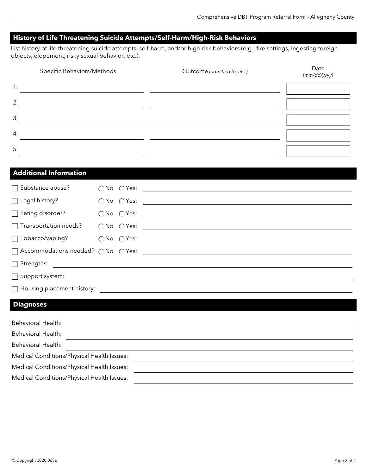# **History of Life Threatening Suicide Attempts/Self-Harm/High-Risk Behaviors**

List history of life threatening suicide attempts, self-harm, and/or high-risk behaviors (e.g., fire settings, ingesting foreign objects, elopement, risky sexual behavior, etc.).

|    | Specific Behaviors/Methods | Outcome (admitted to, etc.) | Date<br>(mm/dd/yyyy) |
|----|----------------------------|-----------------------------|----------------------|
| 1. |                            |                             |                      |
| 2. |                            |                             |                      |
| 3. |                            |                             |                      |
| 4. |                            |                             |                      |
| 5. |                            |                             |                      |

# **Additional Information**

| $\Box$ Substance abuse?              |  |                                                                                                                        |
|--------------------------------------|--|------------------------------------------------------------------------------------------------------------------------|
| $\Box$ Legal history?                |  |                                                                                                                        |
| $\Box$ Eating disorder?              |  |                                                                                                                        |
| $\Box$ Transportation needs?         |  |                                                                                                                        |
| $\Box$ Tobacco/vaping?               |  |                                                                                                                        |
| □ Accommodations needed? ○ No ○ Yes: |  |                                                                                                                        |
| $\Box$ Strengths:                    |  |                                                                                                                        |
| $\Box$ Support system:               |  | <u> 1986 - Johann Stein, fransk kampens og det forskellige og det forskellige og det forskellige og det forskellig</u> |
| $\Box$ Housing placement history:    |  |                                                                                                                        |

### **Diagnoses**

| <b>Behavioral Health:</b>                  |  |  |
|--------------------------------------------|--|--|
| <b>Behavioral Health:</b>                  |  |  |
| <b>Behavioral Health:</b>                  |  |  |
| Medical Conditions/Physical Health Issues: |  |  |
| Medical Conditions/Physical Health Issues: |  |  |
| Medical Conditions/Physical Health Issues: |  |  |